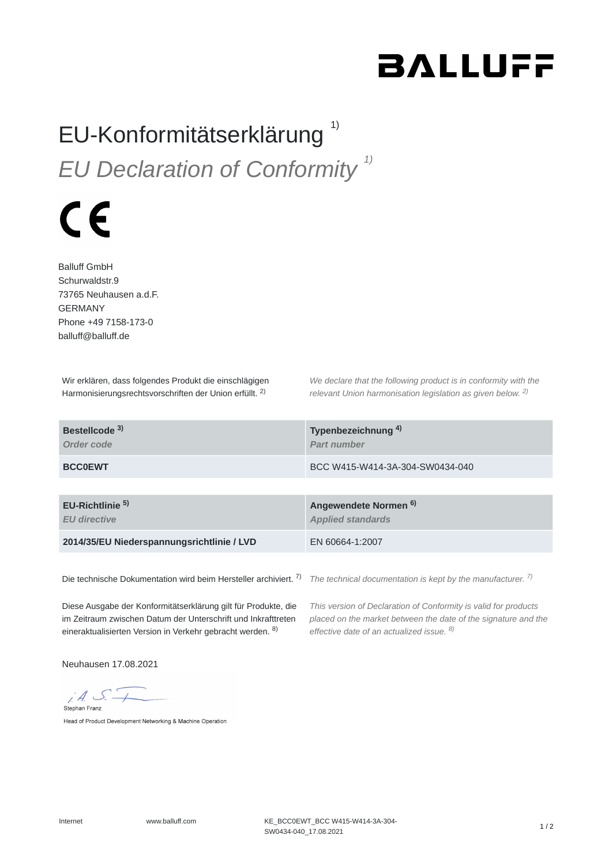## **BALLUFF**

## EU-Konformitätserklärung<sup>1)</sup> *EU Declaration of Conformity 1)*

## $\epsilon$

Balluff GmbH Schurwaldstr.9 73765 Neuhausen a.d.F. GERMANY Phone +49 7158-173-0 balluff@balluff.de

Wir erklären, dass folgendes Produkt die einschlägigen Harmonisierungsrechtsvorschriften der Union erfüllt. <sup>2)</sup>

*We declare that the following product is in conformity with the relevant Union harmonisation legislation as given below.* 2) *2)*

| Bestellcode <sup>3)</sup><br>Order code            | Typenbezeichnung <sup>4)</sup><br>Part number                |
|----------------------------------------------------|--------------------------------------------------------------|
| <b>BCC0EWT</b>                                     | BCC W415-W414-3A-304-SW0434-040                              |
|                                                    |                                                              |
| EU-Richtlinie <sup>5)</sup><br><b>EU directive</b> | Angewendete Normen <sup>6)</sup><br><b>Applied standards</b> |
| 2014/35/EU Niederspannungsrichtlinie / LVD         | EN 60664-1:2007                                              |
|                                                    |                                                              |

Die technische Dokumentation wird beim Hersteller archiviert. 7)

*The technical documentation is kept by the manufacturer. 7)*

Diese Ausgabe der Konformitätserklärung gilt für Produkte, die im Zeitraum zwischen Datum der Unterschrift und Inkrafttreten eineraktualisierten Version in Verkehr gebracht werden. <sup>8)</sup>

*This version of Declaration of Conformity is valid for products placed on the market between the date of the signature and the effective date of an actualized issue. 8)*

Neuhausen 17.08.2021

 $i.4.5$ Stephan Franz

Head of Product Development Networking & Machine Operation